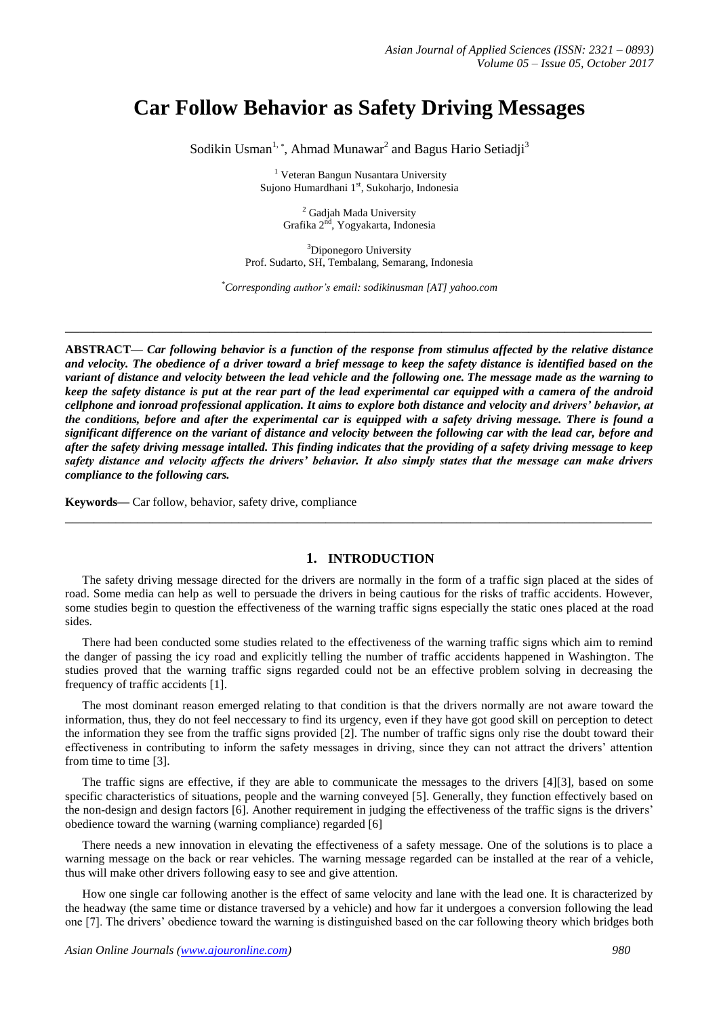# **Car Follow Behavior as Safety Driving Messages**

Sodikin Usman<sup>1,</sup>\*, Ahmad Munawar<sup>2</sup> and Bagus Hario Setiadji<sup>3</sup>

<sup>1</sup> Veteran Bangun Nusantara University Sujono Humardhani 1<sup>st</sup>, Sukoharjo, Indonesia

> <sup>2</sup> Gadjah Mada University Grafika 2<sup>nd</sup>, Yogyakarta, Indonesia

<sup>3</sup>Diponegoro University Prof. Sudarto, SH, Tembalang, Semarang, Indonesia

*\*Corresponding author's email: sodikinusman [AT] yahoo.com*

**\_\_\_\_\_\_\_\_\_\_\_\_\_\_\_\_\_\_\_\_\_\_\_\_\_\_\_\_\_\_\_\_\_\_\_\_\_\_\_\_\_\_\_\_\_\_\_\_\_\_\_\_\_\_\_\_\_\_\_\_\_\_\_\_\_\_\_\_\_\_\_\_\_\_\_\_\_\_\_\_\_**

**ABSTRACT—** *Car following behavior is a function of the response from stimulus affected by the relative distance and velocity. The obedience of a driver toward a brief message to keep the safety distance is identified based on the variant of distance and velocity between the lead vehicle and the following one. The message made as the warning to keep the safety distance is put at the rear part of the lead experimental car equipped with a camera of the android cellphone and ionroad professional application. It aims to explore both distance and velocity and drivers' behavior, at the conditions, before and after the experimental car is equipped with a safety driving message. There is found a significant difference on the variant of distance and velocity between the following car with the lead car, before and after the safety driving message intalled. This finding indicates that the providing of a safety driving message to keep safety distance and velocity affects the drivers' behavior. It also simply states that the message can make drivers compliance to the following cars.*

**Keywords—** Car follow, behavior, safety drive, compliance

### **1. INTRODUCTION**

The safety driving message directed for the drivers are normally in the form of a traffic sign placed at the sides of road. Some media can help as well to persuade the drivers in being cautious for the risks of traffic accidents. However, some studies begin to question the effectiveness of the warning traffic signs especially the static ones placed at the road sides.

**\_\_\_\_\_\_\_\_\_\_\_\_\_\_\_\_\_\_\_\_\_\_\_\_\_\_\_\_\_\_\_\_\_\_\_\_\_\_\_\_\_\_\_\_\_\_\_\_\_\_\_\_\_\_\_\_\_\_\_\_\_\_\_\_\_\_\_\_\_\_\_\_\_\_\_\_\_\_\_\_\_**

There had been conducted some studies related to the effectiveness of the warning traffic signs which aim to remind the danger of passing the icy road and explicitly telling the number of traffic accidents happened in Washington. The studies proved that the warning traffic signs regarded could not be an effective problem solving in decreasing the frequency of traffic accidents [1].

The most dominant reason emerged relating to that condition is that the drivers normally are not aware toward the information, thus, they do not feel neccessary to find its urgency, even if they have got good skill on perception to detect the information they see from the traffic signs provided [2]. The number of traffic signs only rise the doubt toward their effectiveness in contributing to inform the safety messages in driving, since they can not attract the drivers' attention from time to time [3].

The traffic signs are effective, if they are able to communicate the messages to the drivers [4][3], based on some specific characteristics of situations, people and the warning conveyed [5]. Generally, they function effectively based on the non-design and design factors [6]. Another requirement in judging the effectiveness of the traffic signs is the drivers' obedience toward the warning (warning compliance) regarded [6]

There needs a new innovation in elevating the effectiveness of a safety message. One of the solutions is to place a warning message on the back or rear vehicles. The warning message regarded can be installed at the rear of a vehicle, thus will make other drivers following easy to see and give attention.

How one single car following another is the effect of same velocity and lane with the lead one. It is characterized by the headway (the same time or distance traversed by a vehicle) and how far it undergoes a conversion following the lead one [7]. The drivers' obedience toward the warning is distinguished based on the car following theory which bridges both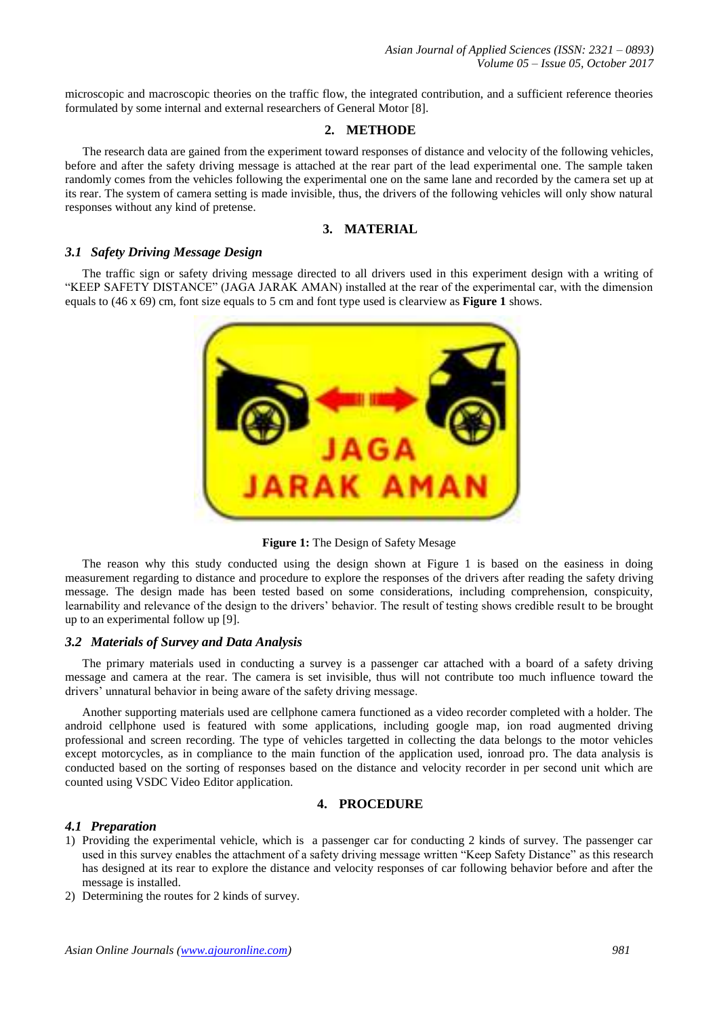microscopic and macroscopic theories on the traffic flow, the integrated contribution, and a sufficient reference theories formulated by some internal and external researchers of General Motor [8].

# **2. METHODE**

The research data are gained from the experiment toward responses of distance and velocity of the following vehicles, before and after the safety driving message is attached at the rear part of the lead experimental one. The sample taken randomly comes from the vehicles following the experimental one on the same lane and recorded by the camera set up at its rear. The system of camera setting is made invisible, thus, the drivers of the following vehicles will only show natural responses without any kind of pretense.

## **3. MATERIAL**

### *3.1 Safety Driving Message Design*

The traffic sign or safety driving message directed to all drivers used in this experiment design with a writing of "KEEP SAFETY DISTANCE" (JAGA JARAK AMAN) installed at the rear of the experimental car, with the dimension equals to (46 x 69) cm, font size equals to 5 cm and font type used is clearview as **Figure 1** shows.



**Figure 1:** The Design of Safety Mesage

The reason why this study conducted using the design shown at Figure 1 is based on the easiness in doing measurement regarding to distance and procedure to explore the responses of the drivers after reading the safety driving message. The design made has been tested based on some considerations, including comprehension, conspicuity, learnability and relevance of the design to the drivers' behavior. The result of testing shows credible result to be brought up to an experimental follow up [9].

### *3.2 Materials of Survey and Data Analysis*

The primary materials used in conducting a survey is a passenger car attached with a board of a safety driving message and camera at the rear. The camera is set invisible, thus will not contribute too much influence toward the drivers' unnatural behavior in being aware of the safety driving message.

Another supporting materials used are cellphone camera functioned as a video recorder completed with a holder. The android cellphone used is featured with some applications, including google map, ion road augmented driving professional and screen recording. The type of vehicles targetted in collecting the data belongs to the motor vehicles except motorcycles, as in compliance to the main function of the application used, ionroad pro. The data analysis is conducted based on the sorting of responses based on the distance and velocity recorder in per second unit which are counted using VSDC Video Editor application.

# **4. PROCEDURE**

### *4.1 Preparation*

- 1) Providing the experimental vehicle, which is a passenger car for conducting 2 kinds of survey. The passenger car used in this survey enables the attachment of a safety driving message written "Keep Safety Distance" as this research has designed at its rear to explore the distance and velocity responses of car following behavior before and after the message is installed.
- 2) Determining the routes for 2 kinds of survey.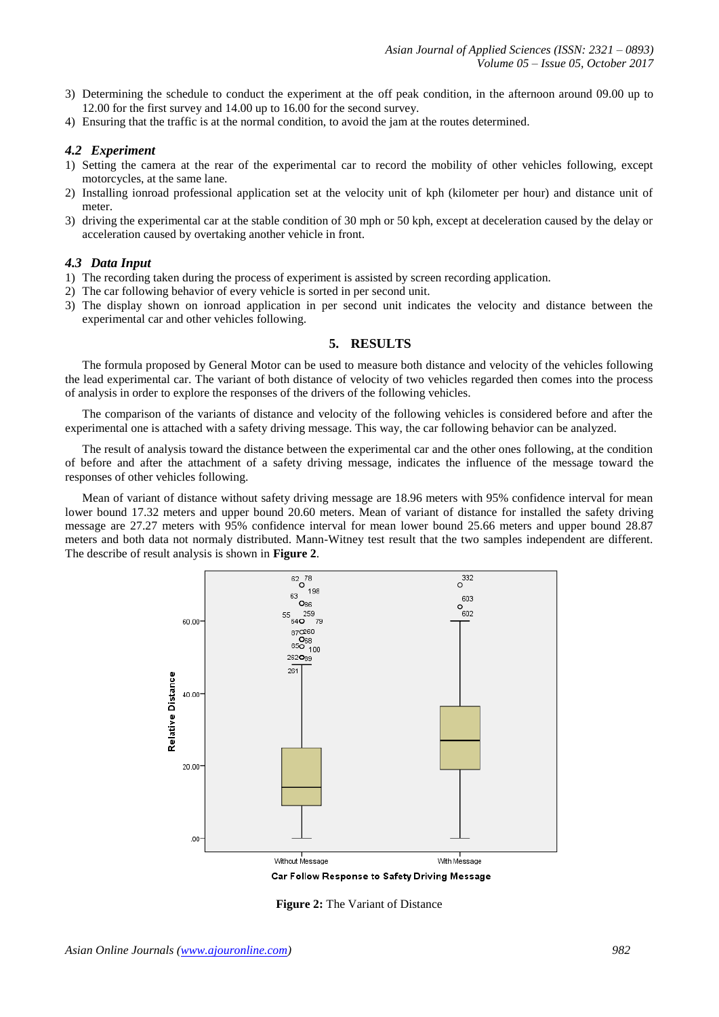- 3) Determining the schedule to conduct the experiment at the off peak condition, in the afternoon around 09.00 up to 12.00 for the first survey and 14.00 up to 16.00 for the second survey.
- 4) Ensuring that the traffic is at the normal condition, to avoid the jam at the routes determined.

### *4.2 Experiment*

- 1) Setting the camera at the rear of the experimental car to record the mobility of other vehicles following, except motorcycles, at the same lane.
- 2) Installing ionroad professional application set at the velocity unit of kph (kilometer per hour) and distance unit of meter.
- 3) driving the experimental car at the stable condition of 30 mph or 50 kph, except at deceleration caused by the delay or acceleration caused by overtaking another vehicle in front.

#### *4.3 Data Input*

- 1) The recording taken during the process of experiment is assisted by screen recording application.
- 2) The car following behavior of every vehicle is sorted in per second unit.
- 3) The display shown on ionroad application in per second unit indicates the velocity and distance between the experimental car and other vehicles following.

#### **5. RESULTS**

The formula proposed by General Motor can be used to measure both distance and velocity of the vehicles following the lead experimental car. The variant of both distance of velocity of two vehicles regarded then comes into the process of analysis in order to explore the responses of the drivers of the following vehicles.

The comparison of the variants of distance and velocity of the following vehicles is considered before and after the experimental one is attached with a safety driving message. This way, the car following behavior can be analyzed.

The result of analysis toward the distance between the experimental car and the other ones following, at the condition of before and after the attachment of a safety driving message, indicates the influence of the message toward the responses of other vehicles following.

Mean of variant of distance without safety driving message are 18.96 meters with 95% confidence interval for mean lower bound 17.32 meters and upper bound 20.60 meters. Mean of variant of distance for installed the safety driving message are 27.27 meters with 95% confidence interval for mean lower bound 25.66 meters and upper bound 28.87 meters and both data not normaly distributed. Mann-Witney test result that the two samples independent are different. The describe of result analysis is shown in **Figure 2**.



**Figure 2:** The Variant of Distance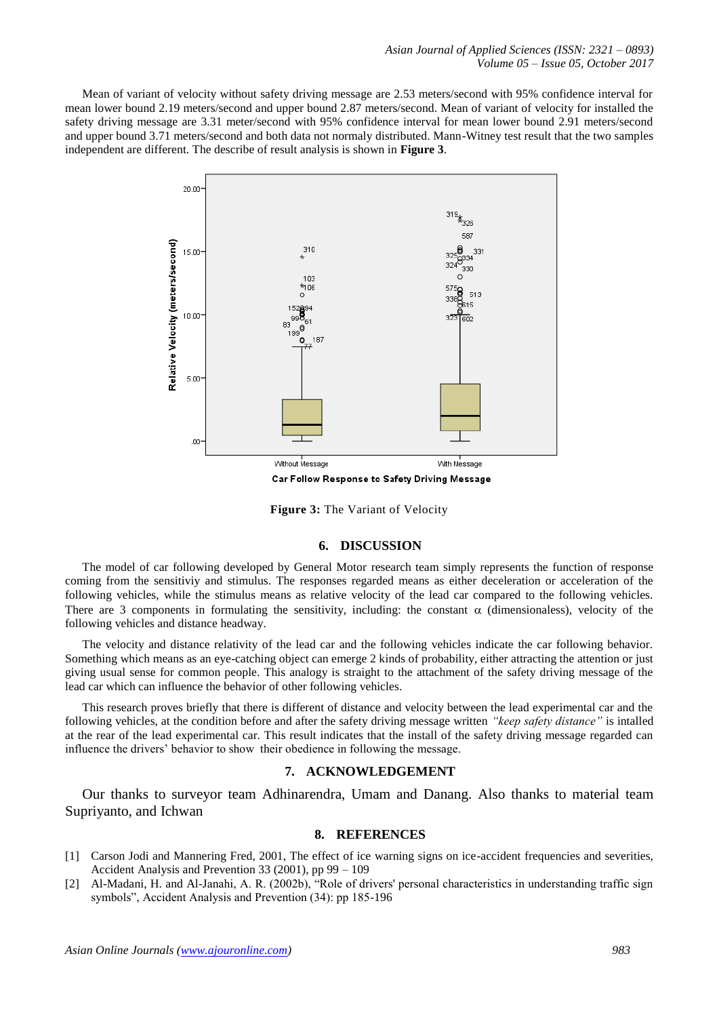Mean of variant of velocity without safety driving message are 2.53 meters/second with 95% confidence interval for mean lower bound 2.19 meters/second and upper bound 2.87 meters/second. Mean of variant of velocity for installed the safety driving message are 3.31 meter/second with 95% confidence interval for mean lower bound 2.91 meters/second and upper bound 3.71 meters/second and both data not normaly distributed. Mann-Witney test result that the two samples independent are different. The describe of result analysis is shown in **Figure 3**.



**Figure 3:** The Variant of Velocity

#### **6. DISCUSSION**

The model of car following developed by General Motor research team simply represents the function of response coming from the sensitiviy and stimulus. The responses regarded means as either deceleration or acceleration of the following vehicles, while the stimulus means as relative velocity of the lead car compared to the following vehicles. There are 3 components in formulating the sensitivity, including: the constant  $\alpha$  (dimensionaless), velocity of the following vehicles and distance headway.

The velocity and distance relativity of the lead car and the following vehicles indicate the car following behavior. Something which means as an eye-catching object can emerge 2 kinds of probability, either attracting the attention or just giving usual sense for common people. This analogy is straight to the attachment of the safety driving message of the lead car which can influence the behavior of other following vehicles.

This research proves briefly that there is different of distance and velocity between the lead experimental car and the following vehicles, at the condition before and after the safety driving message written *"keep safety distance"* is intalled at the rear of the lead experimental car. This result indicates that the install of the safety driving message regarded can influence the drivers' behavior to show their obedience in following the message.

# **7. ACKNOWLEDGEMENT**

Our thanks to surveyor team Adhinarendra, Umam and Danang. Also thanks to material team Supriyanto, and Ichwan

#### **8. REFERENCES**

- [1] Carson Jodi and Mannering Fred, 2001, The effect of ice warning signs on ice-accident frequencies and severities, Accident Analysis and Prevention 33 (2001), pp 99 – 109
- [2] Al-Madani, H. and Al-Janahi, A. R. (2002b), "Role of drivers' personal characteristics in understanding traffic sign symbols", Accident Analysis and Prevention (34): pp 185-196